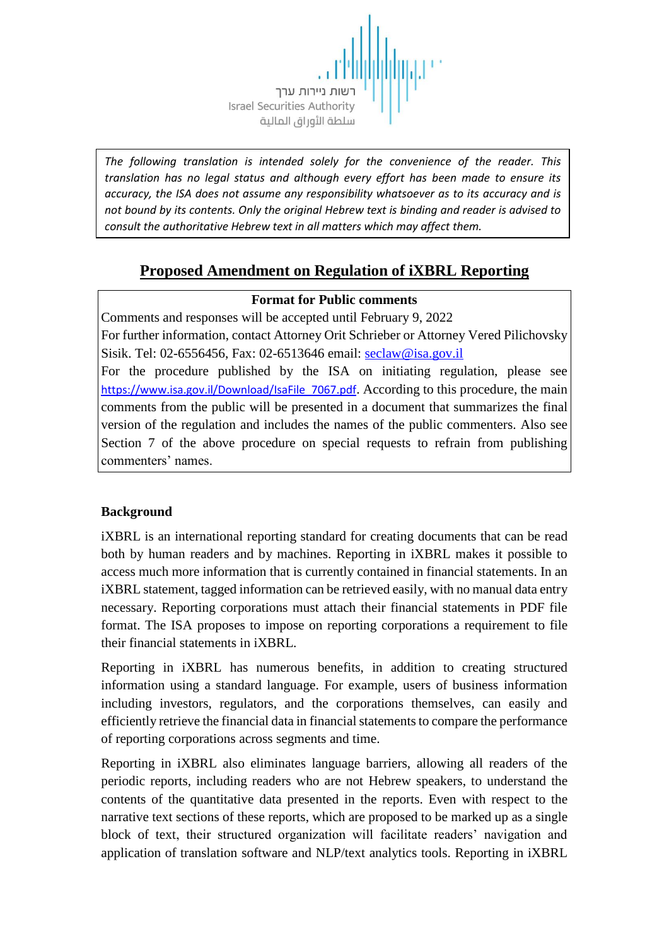

*The following translation is intended solely for the convenience of the reader. This translation has no legal status and although every effort has been made to ensure its accuracy, the ISA does not assume any responsibility whatsoever as to its accuracy and is not bound by its contents. Only the original Hebrew text is binding and reader is advised to consult the authoritative Hebrew text in all matters which may affect them.*

# **Proposed Amendment on Regulation of iXBRL Reporting**

## **Format for Public comments**

Comments and responses will be accepted until February 9, 2022

For further information, contact Attorney Orit Schrieber or Attorney Vered Pilichovsky Sisik. Tel: 02-6556456, Fax: 02-6513646 email: [seclaw@isa.gov.il](mailto:seclaw@isa.gov.il)

For the procedure published by the ISA on initiating regulation, please see https://www.isa.gov.il/Download/IsaFile\_7067.pdf. According to this procedure, the main comments from the public will be presented in a document that summarizes the final version of the regulation and includes the names of the public commenters. Also see Section 7 of the above procedure on special requests to refrain from publishing commenters' names.

# **Background**

iXBRL is an international reporting standard for creating documents that can be read both by human readers and by machines. Reporting in iXBRL makes it possible to access much more information that is currently contained in financial statements. In an iXBRL statement, tagged information can be retrieved easily, with no manual data entry necessary. Reporting corporations must attach their financial statements in PDF file format. The ISA proposes to impose on reporting corporations a requirement to file their financial statements in iXBRL.

Reporting in iXBRL has numerous benefits, in addition to creating structured information using a standard language. For example, users of business information including investors, regulators, and the corporations themselves, can easily and efficiently retrieve the financial data in financial statements to compare the performance of reporting corporations across segments and time.

Reporting in iXBRL also eliminates language barriers, allowing all readers of the periodic reports, including readers who are not Hebrew speakers, to understand the contents of the quantitative data presented in the reports. Even with respect to the narrative text sections of these reports, which are proposed to be marked up as a single block of text, their structured organization will facilitate readers' navigation and application of translation software and NLP/text analytics tools. Reporting in iXBRL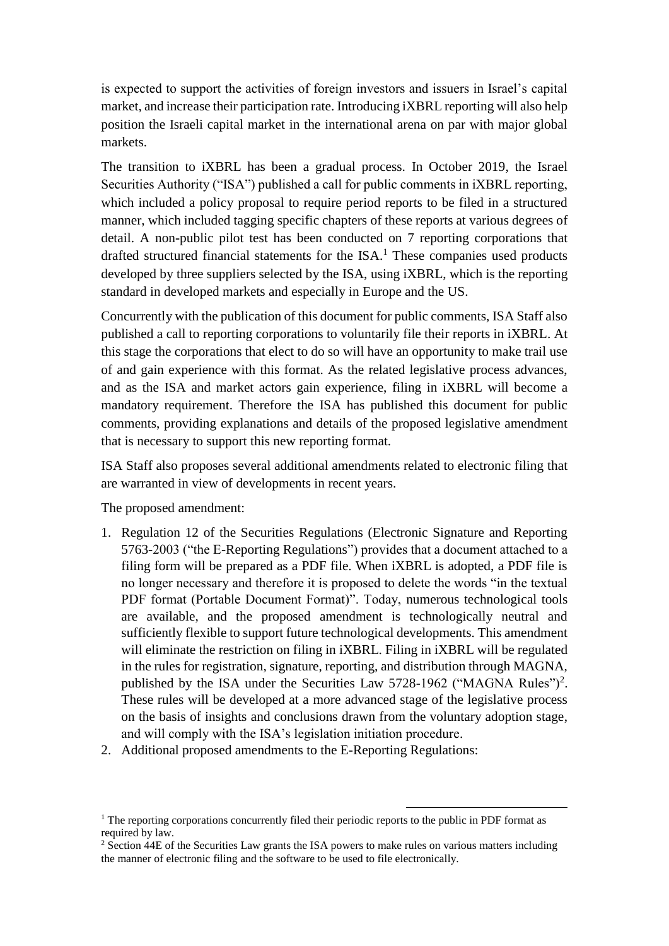is expected to support the activities of foreign investors and issuers in Israel's capital market, and increase their participation rate. Introducing iXBRL reporting will also help position the Israeli capital market in the international arena on par with major global markets.

The transition to iXBRL has been a gradual process. In October 2019, the Israel Securities Authority ("ISA") published a call for public comments in iXBRL reporting, which included a policy proposal to require period reports to be filed in a structured manner, which included tagging specific chapters of these reports at various degrees of detail. A non-public pilot test has been conducted on 7 reporting corporations that drafted structured financial statements for the  $ISA$ .<sup>1</sup> These companies used products developed by three suppliers selected by the ISA, using iXBRL, which is the reporting standard in developed markets and especially in Europe and the US.

Concurrently with the publication of this document for public comments, ISA Staff also published a call to reporting corporations to voluntarily file their reports in iXBRL. At this stage the corporations that elect to do so will have an opportunity to make trail use of and gain experience with this format. As the related legislative process advances, and as the ISA and market actors gain experience, filing in iXBRL will become a mandatory requirement. Therefore the ISA has published this document for public comments, providing explanations and details of the proposed legislative amendment that is necessary to support this new reporting format.

ISA Staff also proposes several additional amendments related to electronic filing that are warranted in view of developments in recent years.

The proposed amendment:

- 1. Regulation 12 of the Securities Regulations (Electronic Signature and Reporting 5763-2003 ("the E-Reporting Regulations") provides that a document attached to a filing form will be prepared as a PDF file. When iXBRL is adopted, a PDF file is no longer necessary and therefore it is proposed to delete the words "in the textual PDF format (Portable Document Format)". Today, numerous technological tools are available, and the proposed amendment is technologically neutral and sufficiently flexible to support future technological developments. This amendment will eliminate the restriction on filing in *iXBRL*. Filing in *iXBRL* will be regulated in the rules for registration, signature, reporting, and distribution through MAGNA, published by the ISA under the Securities Law 5728-1962 ("MAGNA Rules")<sup>2</sup>. These rules will be developed at a more advanced stage of the legislative process on the basis of insights and conclusions drawn from the voluntary adoption stage, and will comply with the ISA's legislation initiation procedure.
- 2. Additional proposed amendments to the E-Reporting Regulations:

1

<sup>&</sup>lt;sup>1</sup> The reporting corporations concurrently filed their periodic reports to the public in PDF format as required by law.

<sup>&</sup>lt;sup>2</sup> Section 44E of the Securities Law grants the ISA powers to make rules on various matters including the manner of electronic filing and the software to be used to file electronically.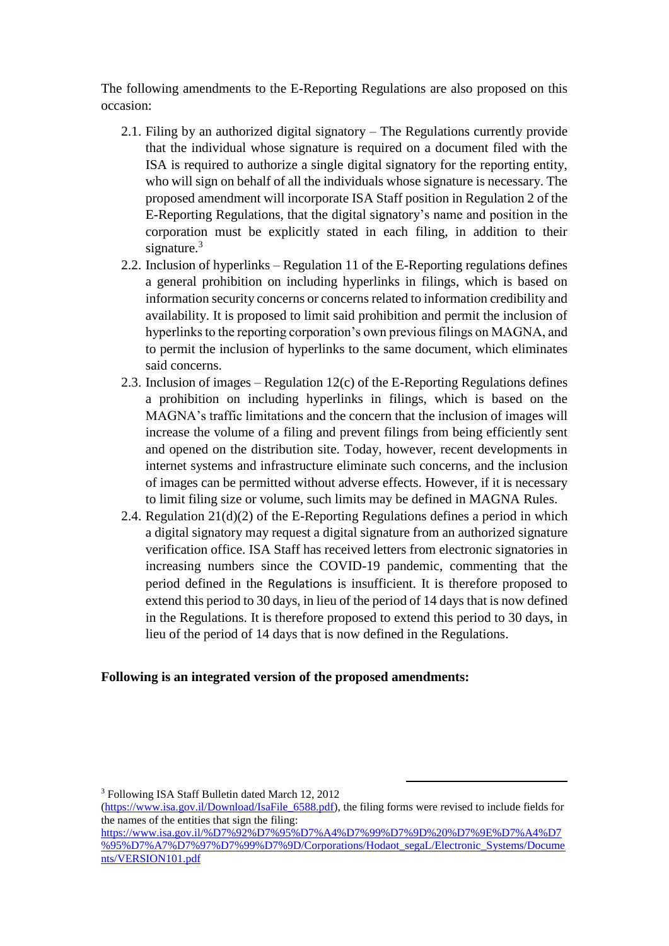The following amendments to the E-Reporting Regulations are also proposed on this occasion:

- 2.1. Filing by an authorized digital signatory The Regulations currently provide that the individual whose signature is required on a document filed with the ISA is required to authorize a single digital signatory for the reporting entity, who will sign on behalf of all the individuals whose signature is necessary. The proposed amendment will incorporate ISA Staff position in Regulation 2 of the E-Reporting Regulations, that the digital signatory's name and position in the corporation must be explicitly stated in each filing, in addition to their signature.<sup>3</sup>
- 2.2. Inclusion of hyperlinks Regulation 11 of the E-Reporting regulations defines a general prohibition on including hyperlinks in filings, which is based on information security concerns or concerns related to information credibility and availability. It is proposed to limit said prohibition and permit the inclusion of hyperlinks to the reporting corporation's own previous filings on MAGNA, and to permit the inclusion of hyperlinks to the same document, which eliminates said concerns.
- 2.3. Inclusion of images Regulation 12(c) of the E-Reporting Regulations defines a prohibition on including hyperlinks in filings, which is based on the MAGNA's traffic limitations and the concern that the inclusion of images will increase the volume of a filing and prevent filings from being efficiently sent and opened on the distribution site. Today, however, recent developments in internet systems and infrastructure eliminate such concerns, and the inclusion of images can be permitted without adverse effects. However, if it is necessary to limit filing size or volume, such limits may be defined in MAGNA Rules.
- 2.4. Regulation 21(d)(2) of the E-Reporting Regulations defines a period in which a digital signatory may request a digital signature from an authorized signature verification office. ISA Staff has received letters from electronic signatories in increasing numbers since the COVID-19 pandemic, commenting that the period defined in the Regulations is insufficient. It is therefore proposed to extend this period to 30 days, in lieu of the period of 14 days that is now defined in the Regulations. It is therefore proposed to extend this period to 30 days, in lieu of the period of 14 days that is now defined in the Regulations.

#### **Following is an integrated version of the proposed amendments:**

 $\overline{a}$ 

<sup>3</sup> Following ISA Staff Bulletin dated March 12, 2012

[<sup>\(</sup>https://www.isa.gov.il/Download/IsaFile\\_6588.pdf\)](https://www.isa.gov.il/Download/IsaFile_6588.pdf), the filing forms were revised to include fields for the names of the entities that sign the filing:

[https://www.isa.gov.il/%D7%92%D7%95%D7%A4%D7%99%D7%9D%20%D7%9E%D7%A4%D7](https://www.isa.gov.il/%D7%92%D7%95%D7%A4%D7%99%D7%9D%20%D7%9E%D7%A4%D7%95%D7%A7%D7%97%D7%99%D7%9D/Corporations/Hodaot_segaL/Electronic_Systems/Documents/VERSION101.pdf) [%95%D7%A7%D7%97%D7%99%D7%9D/Corporations/Hodaot\\_segaL/Electronic\\_Systems/Docume](https://www.isa.gov.il/%D7%92%D7%95%D7%A4%D7%99%D7%9D%20%D7%9E%D7%A4%D7%95%D7%A7%D7%97%D7%99%D7%9D/Corporations/Hodaot_segaL/Electronic_Systems/Documents/VERSION101.pdf) [nts/VERSION101.pdf](https://www.isa.gov.il/%D7%92%D7%95%D7%A4%D7%99%D7%9D%20%D7%9E%D7%A4%D7%95%D7%A7%D7%97%D7%99%D7%9D/Corporations/Hodaot_segaL/Electronic_Systems/Documents/VERSION101.pdf)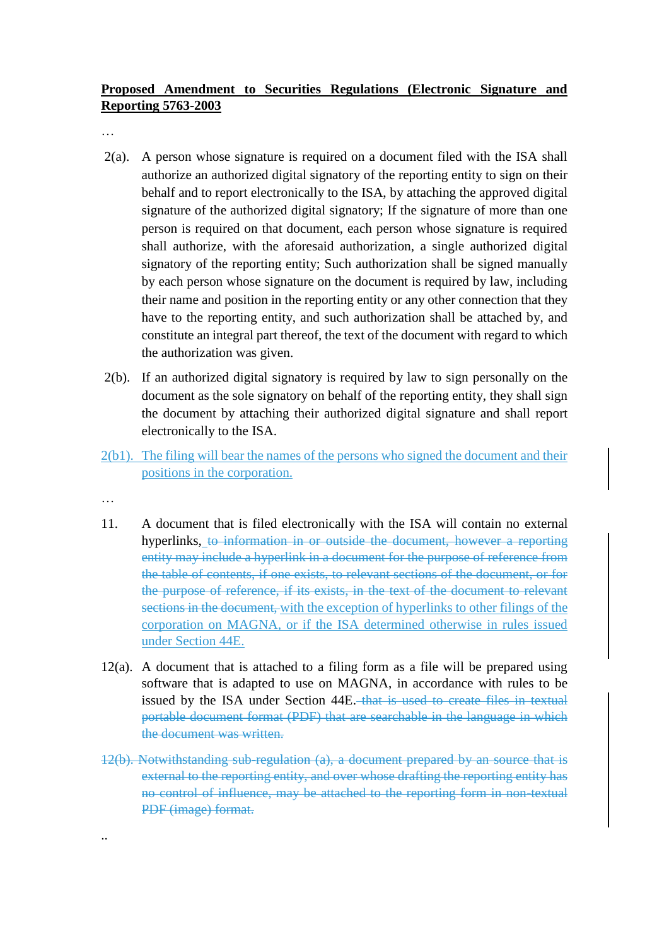## **Proposed Amendment to Securities Regulations (Electronic Signature and Reporting 5763-2003**

…

- 2(a). A person whose signature is required on a document filed with the ISA shall authorize an authorized digital signatory of the reporting entity to sign on their behalf and to report electronically to the ISA, by attaching the approved digital signature of the authorized digital signatory; If the signature of more than one person is required on that document, each person whose signature is required shall authorize, with the aforesaid authorization, a single authorized digital signatory of the reporting entity; Such authorization shall be signed manually by each person whose signature on the document is required by law, including their name and position in the reporting entity or any other connection that they have to the reporting entity, and such authorization shall be attached by, and constitute an integral part thereof, the text of the document with regard to which the authorization was given.
- 2(b). If an authorized digital signatory is required by law to sign personally on the document as the sole signatory on behalf of the reporting entity, they shall sign the document by attaching their authorized digital signature and shall report electronically to the ISA.
- 2(b1). The filing will bear the names of the persons who signed the document and their positions in the corporation.
- …

..

- 11. A document that is filed electronically with the ISA will contain no external hyperlinks, to information in or outside the document, however a reporting entity may include a hyperlink in a document for the purpose of reference from the table of contents, if one exists, to relevant sections of the document, or for the purpose of reference, if its exists, in the text of the document to relevant sections in the document, with the exception of hyperlinks to other filings of the corporation on MAGNA, or if the ISA determined otherwise in rules issued under Section 44E.
- 12(a). A document that is attached to a filing form as a file will be prepared using software that is adapted to use on MAGNA, in accordance with rules to be issued by the ISA under Section 44E. that is used to create files in textual portable document format (PDF) that are searchable in the language in which the document was written.
- 12(b). Notwithstanding sub-regulation (a), a document prepared by an source that is external to the reporting entity, and over whose drafting the reporting entity has no control of influence, may be attached to the reporting form in non-textual PDF (image) format.